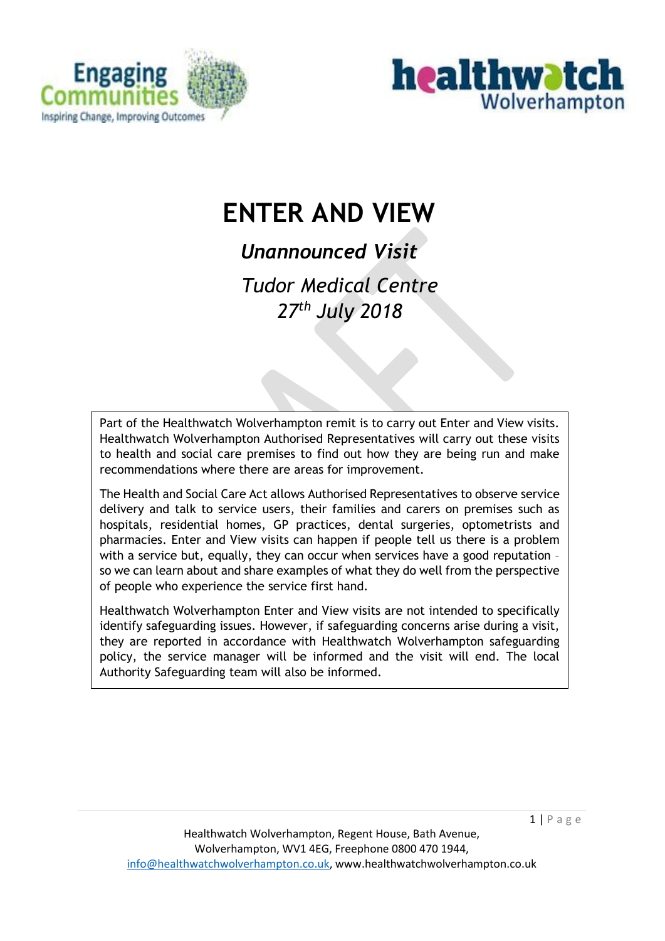



# **ENTER AND VIEW**

*Unannounced Visit* 

*Tudor Medical Centre 27th July 2018*

Part of the Healthwatch Wolverhampton remit is to carry out Enter and View visits. Healthwatch Wolverhampton Authorised Representatives will carry out these visits to health and social care premises to find out how they are being run and make recommendations where there are areas for improvement.

The Health and Social Care Act allows Authorised Representatives to observe service delivery and talk to service users, their families and carers on premises such as hospitals, residential homes, GP practices, dental surgeries, optometrists and pharmacies. Enter and View visits can happen if people tell us there is a problem with a service but, equally, they can occur when services have a good reputation – so we can learn about and share examples of what they do well from the perspective of people who experience the service first hand.

Healthwatch Wolverhampton Enter and View visits are not intended to specifically identify safeguarding issues. However, if safeguarding concerns arise during a visit, they are reported in accordance with Healthwatch Wolverhampton safeguarding policy, the service manager will be informed and the visit will end. The local Authority Safeguarding team will also be informed.

 $1 | P \text{ age}$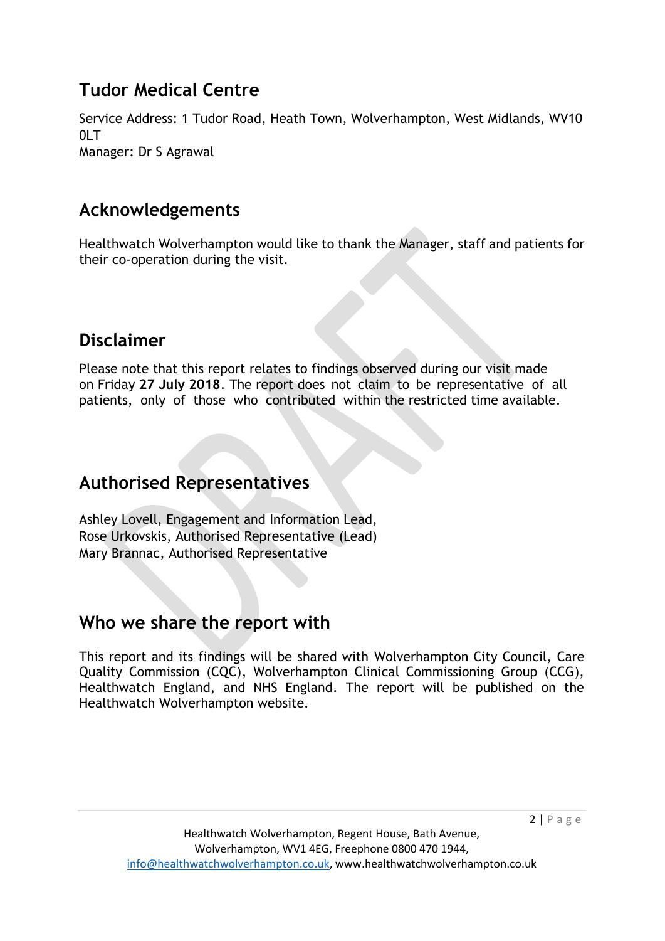## **Tudor Medical Centre**

Service Address: 1 Tudor Road, Heath Town, Wolverhampton, West Midlands, WV10  $0I$  T Manager: Dr S Agrawal

## **Acknowledgements**

Healthwatch Wolverhampton would like to thank the Manager, staff and patients for their co-operation during the visit.

## **Disclaimer**

Please note that this report relates to findings observed during our visit made on Friday **27 July 2018**. The report does not claim to be representative of all patients, only of those who contributed within the restricted time available.

## **Authorised Representatives**

Ashley Lovell, Engagement and Information Lead, Rose Urkovskis, Authorised Representative (Lead) Mary Brannac, Authorised Representative

## **Who we share the report with**

This report and its findings will be shared with Wolverhampton City Council, Care Quality Commission (CQC), Wolverhampton Clinical Commissioning Group (CCG), Healthwatch England, and NHS England. The report will be published on the Healthwatch Wolverhampton website.

 $2 | P \text{ age}$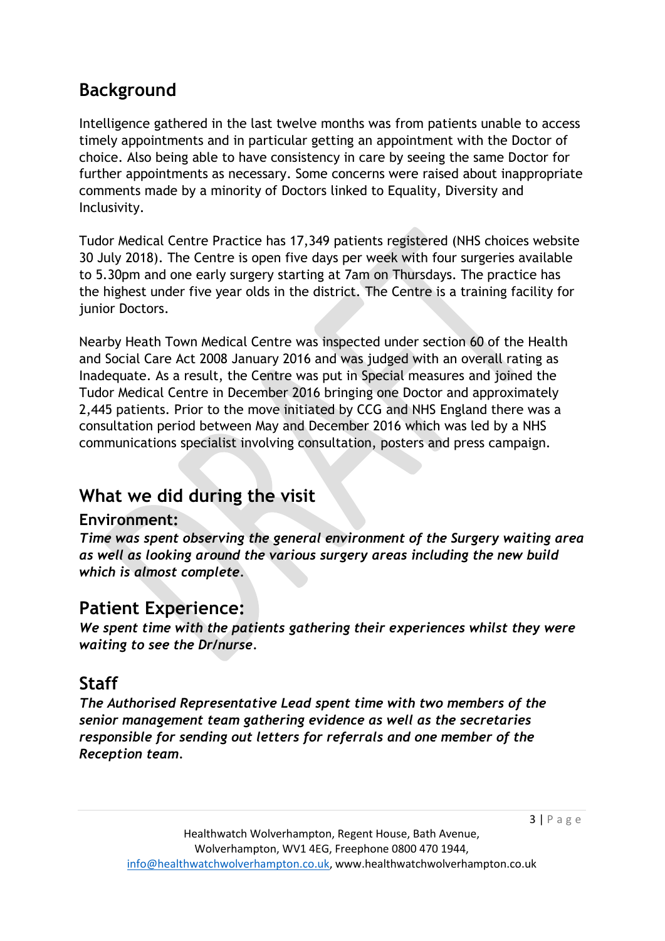## **Background**

Intelligence gathered in the last twelve months was from patients unable to access timely appointments and in particular getting an appointment with the Doctor of choice. Also being able to have consistency in care by seeing the same Doctor for further appointments as necessary. Some concerns were raised about inappropriate comments made by a minority of Doctors linked to Equality, Diversity and Inclusivity.

Tudor Medical Centre Practice has 17,349 patients registered (NHS choices website 30 July 2018). The Centre is open five days per week with four surgeries available to 5.30pm and one early surgery starting at 7am on Thursdays. The practice has the highest under five year olds in the district. The Centre is a training facility for junior Doctors.

Nearby Heath Town Medical Centre was inspected under section 60 of the Health and Social Care Act 2008 January 2016 and was judged with an overall rating as Inadequate. As a result, the Centre was put in Special measures and joined the Tudor Medical Centre in December 2016 bringing one Doctor and approximately 2,445 patients. Prior to the move initiated by CCG and NHS England there was a consultation period between May and December 2016 which was led by a NHS communications specialist involving consultation, posters and press campaign.

## **What we did during the visit**

#### **Environment:**

*Time was spent observing the general environment of the Surgery waiting area as well as looking around the various surgery areas including the new build which is almost complete.*

## **Patient Experience:**

*We spent time with the patients gathering their experiences whilst they were waiting to see the Dr/nurse.*

## **Staff**

*The Authorised Representative Lead spent time with two members of the senior management team gathering evidence as well as the secretaries responsible for sending out letters for referrals and one member of the Reception team.*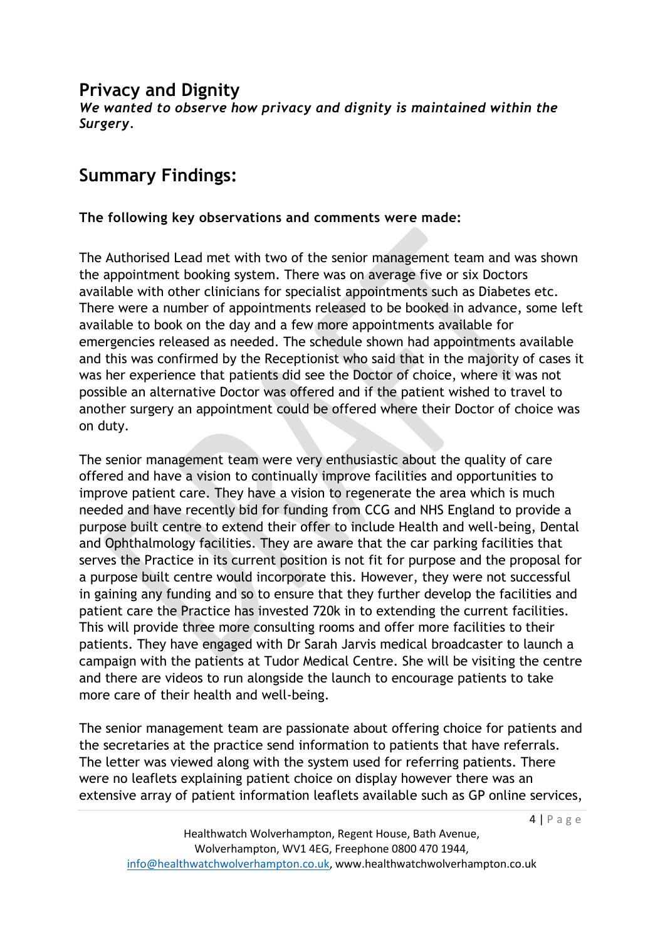#### **Privacy and Dignity**

*We wanted to observe how privacy and dignity is maintained within the Surgery.*

# **Summary Findings:**

#### **The following key observations and comments were made:**

The Authorised Lead met with two of the senior management team and was shown the appointment booking system. There was on average five or six Doctors available with other clinicians for specialist appointments such as Diabetes etc. There were a number of appointments released to be booked in advance, some left available to book on the day and a few more appointments available for emergencies released as needed. The schedule shown had appointments available and this was confirmed by the Receptionist who said that in the majority of cases it was her experience that patients did see the Doctor of choice, where it was not possible an alternative Doctor was offered and if the patient wished to travel to another surgery an appointment could be offered where their Doctor of choice was on duty.

The senior management team were very enthusiastic about the quality of care offered and have a vision to continually improve facilities and opportunities to improve patient care. They have a vision to regenerate the area which is much needed and have recently bid for funding from CCG and NHS England to provide a purpose built centre to extend their offer to include Health and well-being, Dental and Ophthalmology facilities. They are aware that the car parking facilities that serves the Practice in its current position is not fit for purpose and the proposal for a purpose built centre would incorporate this. However, they were not successful in gaining any funding and so to ensure that they further develop the facilities and patient care the Practice has invested 720k in to extending the current facilities. This will provide three more consulting rooms and offer more facilities to their patients. They have engaged with Dr Sarah Jarvis medical broadcaster to launch a campaign with the patients at Tudor Medical Centre. She will be visiting the centre and there are videos to run alongside the launch to encourage patients to take more care of their health and well-being.

The senior management team are passionate about offering choice for patients and the secretaries at the practice send information to patients that have referrals. The letter was viewed along with the system used for referring patients. There were no leaflets explaining patient choice on display however there was an extensive array of patient information leaflets available such as GP online services,

4 | P a g e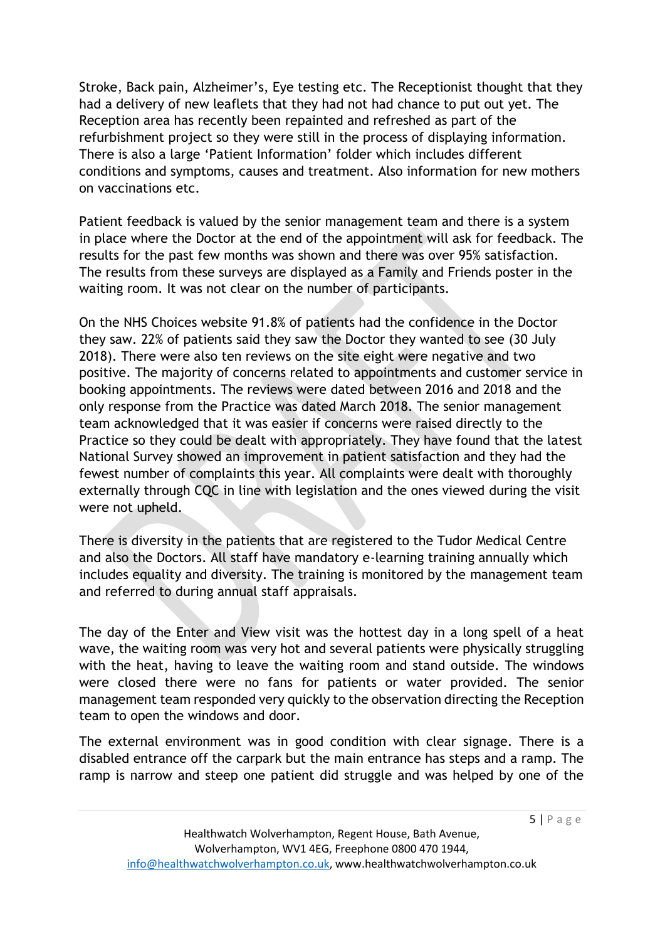Stroke, Back pain, Alzheimer's, Eye testing etc. The Receptionist thought that they had a delivery of new leaflets that they had not had chance to put out yet. The Reception area has recently been repainted and refreshed as part of the refurbishment project so they were still in the process of displaying information. There is also a large 'Patient Information' folder which includes different conditions and symptoms, causes and treatment. Also information for new mothers on vaccinations etc.

Patient feedback is valued by the senior management team and there is a system in place where the Doctor at the end of the appointment will ask for feedback. The results for the past few months was shown and there was over 95% satisfaction. The results from these surveys are displayed as a Family and Friends poster in the waiting room. It was not clear on the number of participants.

On the NHS Choices website 91.8% of patients had the confidence in the Doctor they saw. 22% of patients said they saw the Doctor they wanted to see (30 July 2018). There were also ten reviews on the site eight were negative and two positive. The majority of concerns related to appointments and customer service in booking appointments. The reviews were dated between 2016 and 2018 and the only response from the Practice was dated March 2018. The senior management team acknowledged that it was easier if concerns were raised directly to the Practice so they could be dealt with appropriately. They have found that the latest National Survey showed an improvement in patient satisfaction and they had the fewest number of complaints this year. All complaints were dealt with thoroughly externally through CQC in line with legislation and the ones viewed during the visit were not upheld.

There is diversity in the patients that are registered to the Tudor Medical Centre and also the Doctors. All staff have mandatory e-learning training annually which includes equality and diversity. The training is monitored by the management team and referred to during annual staff appraisals.

The day of the Enter and View visit was the hottest day in a long spell of a heat wave, the waiting room was very hot and several patients were physically struggling with the heat, having to leave the waiting room and stand outside. The windows were closed there were no fans for patients or water provided. The senior management team responded very quickly to the observation directing the Reception team to open the windows and door.

The external environment was in good condition with clear signage. There is a disabled entrance off the carpark but the main entrance has steps and a ramp. The ramp is narrow and steep one patient did struggle and was helped by one of the

 $5 | P \text{ age}$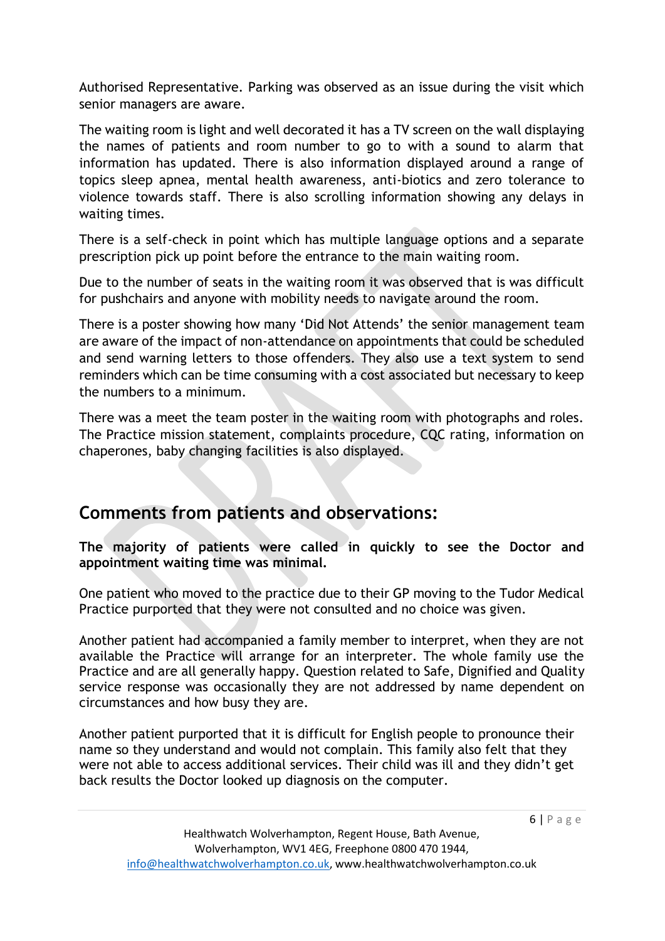Authorised Representative. Parking was observed as an issue during the visit which senior managers are aware.

The waiting room is light and well decorated it has a TV screen on the wall displaying the names of patients and room number to go to with a sound to alarm that information has updated. There is also information displayed around a range of topics sleep apnea, mental health awareness, anti-biotics and zero tolerance to violence towards staff. There is also scrolling information showing any delays in waiting times.

There is a self-check in point which has multiple language options and a separate prescription pick up point before the entrance to the main waiting room.

Due to the number of seats in the waiting room it was observed that is was difficult for pushchairs and anyone with mobility needs to navigate around the room.

There is a poster showing how many 'Did Not Attends' the senior management team are aware of the impact of non-attendance on appointments that could be scheduled and send warning letters to those offenders. They also use a text system to send reminders which can be time consuming with a cost associated but necessary to keep the numbers to a minimum.

There was a meet the team poster in the waiting room with photographs and roles. The Practice mission statement, complaints procedure, CQC rating, information on chaperones, baby changing facilities is also displayed.

## **Comments from patients and observations:**

**The majority of patients were called in quickly to see the Doctor and appointment waiting time was minimal.** 

One patient who moved to the practice due to their GP moving to the Tudor Medical Practice purported that they were not consulted and no choice was given.

Another patient had accompanied a family member to interpret, when they are not available the Practice will arrange for an interpreter. The whole family use the Practice and are all generally happy. Question related to Safe, Dignified and Quality service response was occasionally they are not addressed by name dependent on circumstances and how busy they are.

Another patient purported that it is difficult for English people to pronounce their name so they understand and would not complain. This family also felt that they were not able to access additional services. Their child was ill and they didn't get back results the Doctor looked up diagnosis on the computer.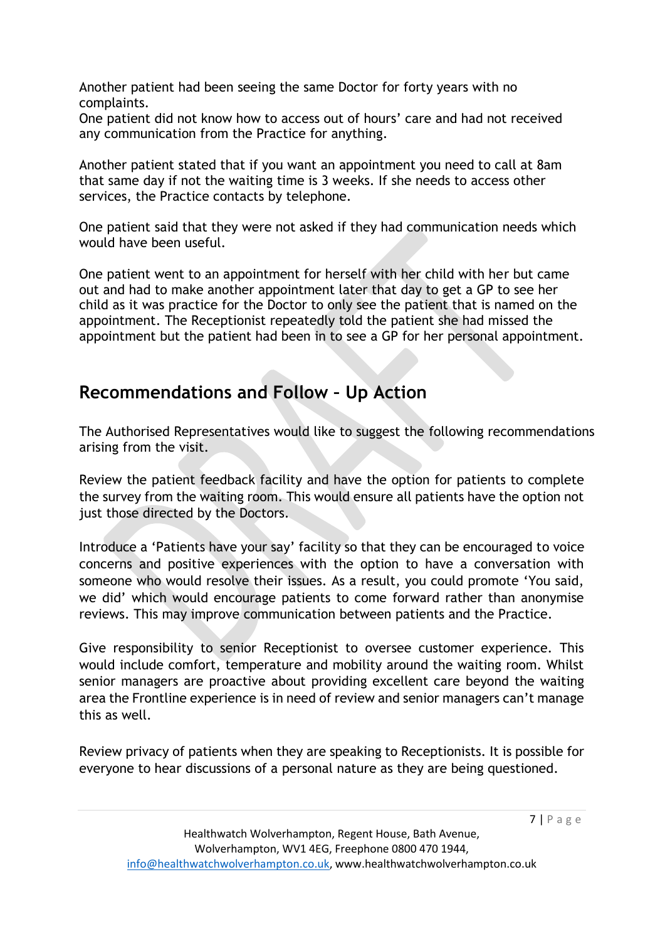Another patient had been seeing the same Doctor for forty years with no complaints.

One patient did not know how to access out of hours' care and had not received any communication from the Practice for anything.

Another patient stated that if you want an appointment you need to call at 8am that same day if not the waiting time is 3 weeks. If she needs to access other services, the Practice contacts by telephone.

One patient said that they were not asked if they had communication needs which would have been useful.

One patient went to an appointment for herself with her child with her but came out and had to make another appointment later that day to get a GP to see her child as it was practice for the Doctor to only see the patient that is named on the appointment. The Receptionist repeatedly told the patient she had missed the appointment but the patient had been in to see a GP for her personal appointment.

## **Recommendations and Follow – Up Action**

The Authorised Representatives would like to suggest the following recommendations arising from the visit.

Review the patient feedback facility and have the option for patients to complete the survey from the waiting room. This would ensure all patients have the option not just those directed by the Doctors.

Introduce a 'Patients have your say' facility so that they can be encouraged to voice concerns and positive experiences with the option to have a conversation with someone who would resolve their issues. As a result, you could promote 'You said, we did' which would encourage patients to come forward rather than anonymise reviews. This may improve communication between patients and the Practice.

Give responsibility to senior Receptionist to oversee customer experience. This would include comfort, temperature and mobility around the waiting room. Whilst senior managers are proactive about providing excellent care beyond the waiting area the Frontline experience is in need of review and senior managers can't manage this as well.

Review privacy of patients when they are speaking to Receptionists. It is possible for everyone to hear discussions of a personal nature as they are being questioned.